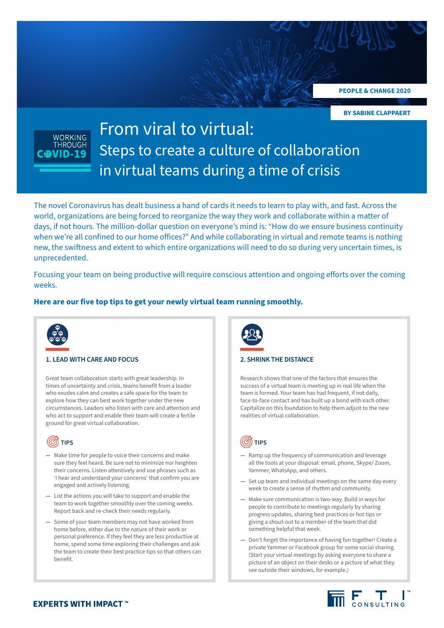**PEOPLE & CHANGE 2020**

**BY SABINE CLAPPAERT**



# From viral to virtual: Steps to create a culture of collaboration in virtual teams during a time of crisis

The novel Coronavirus has dealt business a hand of cards it needs to learn to play with, and fast. Across the world, organizations are being forced to reorganize the way they work and collaborate within a matter of days, if not hours. The million-dollar question on everyone's mind is: "How do we ensure business continuity when we're all confined to our home offices?" And while collaborating in virtual and remote teams is nothing new, the swiftness and extent to which entire organizations will need to do so during very uncertain times, is unprecedented.

Focusing your team on being productive will require conscious attention and ongoing efforts over the coming weeks.

## **Here are our five top tips to get your newly virtual team running smoothly.**



### **1. LEAD WITH CARE AND FOCUS 2. SHRINK THE DISTANCE**

Great team collaboration starts with great leadership. In times of uncertainty and crisis, teams benefit from a leader who exudes calm and creates a safe space for the team to explore how they can best work together under the new circumstances. Leaders who listen with care and attention and who act to support and enable their team will create a fertile ground for great virtual collaboration.



- **—** Make time for people to voice their concerns and make sure they feel heard. Be sure not to minimize nor heighten their concerns. Listen attentively and use phrases such as 'I hear and understand your concerns' that confirm you are engaged and actively listening.
- **—** List the actions you will take to support and enable the team to work together smoothly over the coming weeks. Report back and re-check their needs regularly.
- **—** Some of your team members may not have worked from home before, either due to the nature of their work or personal preference. If they feel they are less productive at home, spend some time exploring their challenges and ask the team to create their best practice tips so that others can benefit.



Research shows that one of the factors that ensures the success of a virtual team is meeting up in real life when the team is formed. Your team has had frequent, if not daily, face-to-face contact and has built up a bond with each other. Capitalize on this foundation to help them adjust to the new realities of virtual collaboration.



- **—** Ramp up the frequency of communication and leverage all the tools at your disposal: email, phone, Skype/ Zoom, Yammer, WhatsApp, and others.
- **—** Set up team and individual meetings on the same day every week to create a sense of rhythm and community.
- **—** Make sure communication is two-way. Build in ways for people to contribute to meetings regularly by sharing progress updates, sharing best practices or hot tips or giving a shout-out to a member of the team that did something helpful that week.
- **—** Don't forget the importance of having fun together! Create a private Yammer or Facebook group for some social sharing. (Start your virtual meetings by asking everyone to share a picture of an object on their desks or a picture of what they see outside their windows, for example.)